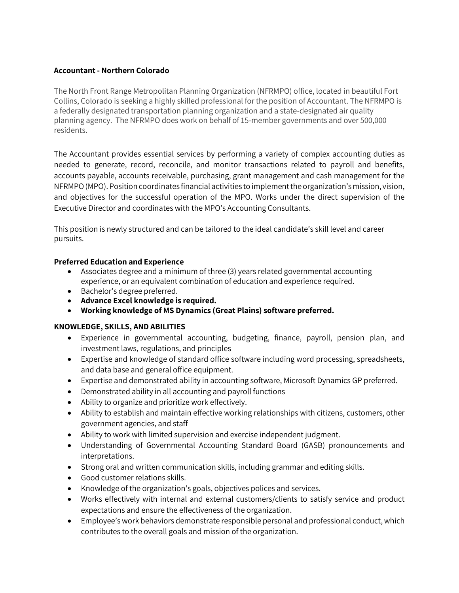## **Accountant - Northern Colorado**

The North Front Range Metropolitan Planning Organization (NFRMPO) office, located in beautiful Fort Collins, Colorado is seeking a highly skilled professional for the position of Accountant. The NFRMPO is a federally designated transportation planning organization and a state-designated air quality planning agency. The NFRMPO does work on behalf of 15-member governments and over 500,000 residents.

The Accountant provides essential services by performing a variety of complex accounting duties as needed to generate, record, reconcile, and monitor transactions related to payroll and benefits, accounts payable, accounts receivable, purchasing, grant management and cash management for the NFRMPO (MPO). Position coordinates financial activities to implement the organization's mission, vision, and objectives for the successful operation of the MPO. Works under the direct supervision of the Executive Director and coordinates with the MPO's Accounting Consultants.

This position is newly structured and can be tailored to the ideal candidate's skill level and career pursuits.

## **Preferred Education and Experience**

- Associates degree and a minimum of three (3) years related governmental accounting experience, or an equivalent combination of education and experience required.
- Bachelor's degree preferred.
- **Advance Excel knowledge is required.**
- **Working knowledge of MS Dynamics (Great Plains) software preferred.**

## **KNOWLEDGE, SKILLS, AND ABILITIES**

- Experience in governmental accounting, budgeting, finance, payroll, pension plan, and investment laws, regulations, and principles
- Expertise and knowledge of standard office software including word processing, spreadsheets, and data base and general office equipment.
- Expertise and demonstrated ability in accounting software, Microsoft Dynamics GP preferred.
- Demonstrated ability in all accounting and payroll functions
- Ability to organize and prioritize work effectively.
- Ability to establish and maintain effective working relationships with citizens, customers, other government agencies, and staff
- Ability to work with limited supervision and exercise independent judgment.
- Understanding of Governmental Accounting Standard Board (GASB) pronouncements and interpretations.
- Strong oral and written communication skills, including grammar and editing skills.
- Good customer relations skills.
- Knowledge of the organization's goals, objectives polices and services.
- Works effectively with internal and external customers/clients to satisfy service and product expectations and ensure the effectiveness of the organization.
- Employee's work behaviors demonstrate responsible personal and professional conduct, which contributes to the overall goals and mission of the organization.